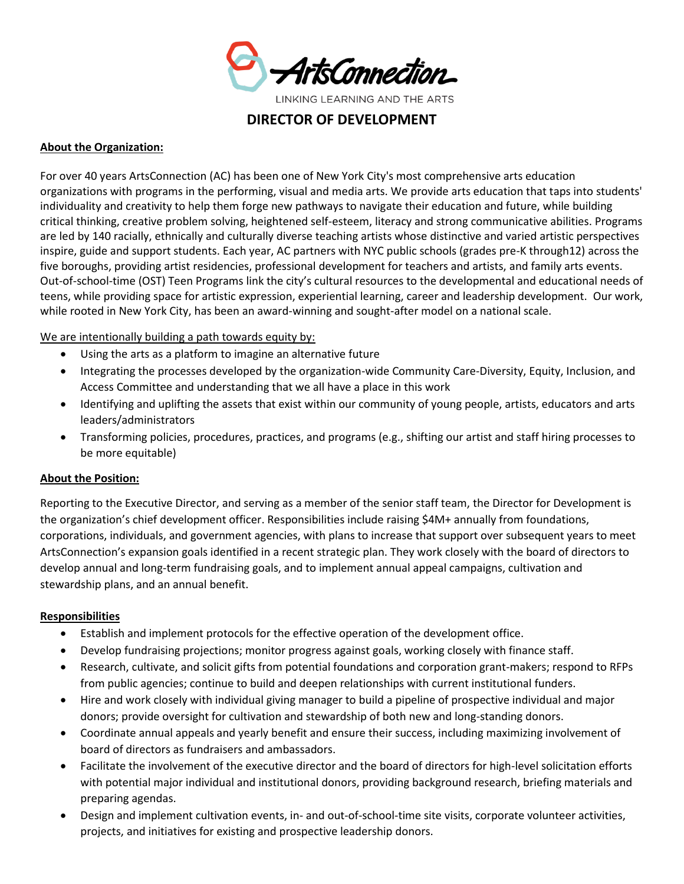

LINKING LEARNING AND THE ARTS

**DIRECTOR OF DEVELOPMENT**

## **About the Organization:**

For over 40 years ArtsConnection (AC) has been one of New York City's most comprehensive arts education organizations with programs in the performing, visual and media arts. We provide arts education that taps into students' individuality and creativity to help them forge new pathways to navigate their education and future, while building critical thinking, creative problem solving, heightened self-esteem, literacy and strong communicative abilities. Programs are led by 140 racially, ethnically and culturally diverse teaching artists whose distinctive and varied artistic perspectives inspire, guide and support students. Each year, AC partners with NYC public schools (grades pre-K through12) across the five boroughs, providing artist residencies, professional development for teachers and artists, and family arts events. Out-of-school-time (OST) Teen Programs link the city's cultural resources to the developmental and educational needs of teens, while providing space for artistic expression, experiential learning, career and leadership development. Our work, while rooted in New York City, has been an award-winning and sought-after model on a national scale.

We are intentionally building a path towards equity by:

- Using the arts as a platform to imagine an alternative future
- Integrating the processes developed by the organization-wide Community Care-Diversity, Equity, Inclusion, and Access Committee and understanding that we all have a place in this work
- Identifying and uplifting the assets that exist within our community of young people, artists, educators and arts leaders/administrators
- Transforming policies, procedures, practices, and programs (e.g., shifting our artist and staff hiring processes to be more equitable)

# **About the Position:**

Reporting to the Executive Director, and serving as a member of the senior staff team, the Director for Development is the organization's chief development officer. Responsibilities include raising \$4M+ annually from foundations, corporations, individuals, and government agencies, with plans to increase that support over subsequent years to meet ArtsConnection's expansion goals identified in a recent strategic plan. They work closely with the board of directors to develop annual and long-term fundraising goals, and to implement annual appeal campaigns, cultivation and stewardship plans, and an annual benefit.

#### **Responsibilities**

- Establish and implement protocols for the effective operation of the development office.
- Develop fundraising projections; monitor progress against goals, working closely with finance staff.
- Research, cultivate, and solicit gifts from potential foundations and corporation grant-makers; respond to RFPs from public agencies; continue to build and deepen relationships with current institutional funders.
- Hire and work closely with individual giving manager to build a pipeline of prospective individual and major donors; provide oversight for cultivation and stewardship of both new and long-standing donors.
- Coordinate annual appeals and yearly benefit and ensure their success, including maximizing involvement of board of directors as fundraisers and ambassadors.
- Facilitate the involvement of the executive director and the board of directors for high-level solicitation efforts with potential major individual and institutional donors, providing background research, briefing materials and preparing agendas.
- Design and implement cultivation events, in- and out-of-school-time site visits, corporate volunteer activities, projects, and initiatives for existing and prospective leadership donors.